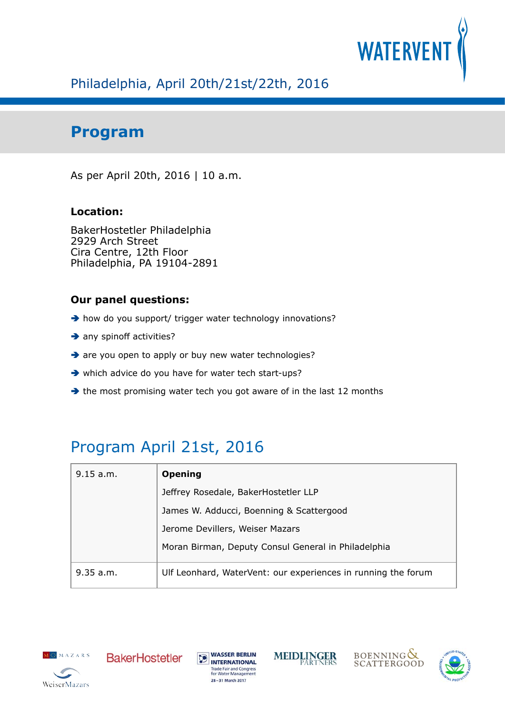

## Philadelphia, April 20th/21st/22th, 2016

## **Program**

As per April 20th, 2016 | 10 a.m.

#### **Location:**

BakerHostetler Philadelphia 2929 Arch Street Cira Centre, 12th Floor Philadelphia, PA 19104-2891

#### **Our panel questions:**

- $\rightarrow$  how do you support/ trigger water technology innovations?
- $\rightarrow$  any spinoff activities?
- → are you open to apply or buy new water technologies?
- which advice do you have for water tech start-ups?
- $\rightarrow$  the most promising water tech you got aware of in the last 12 months

## Program April 21st, 2016

| 9.15 a.m. | <b>Opening</b>                                                |
|-----------|---------------------------------------------------------------|
|           | Jeffrey Rosedale, BakerHostetler LLP                          |
|           | James W. Adducci, Boenning & Scattergood                      |
|           | Jerome Devillers, Weiser Mazars                               |
|           | Moran Birman, Deputy Consul General in Philadelphia           |
| 9.35 a.m. | Ulf Leonhard, WaterVent: our experiences in running the forum |











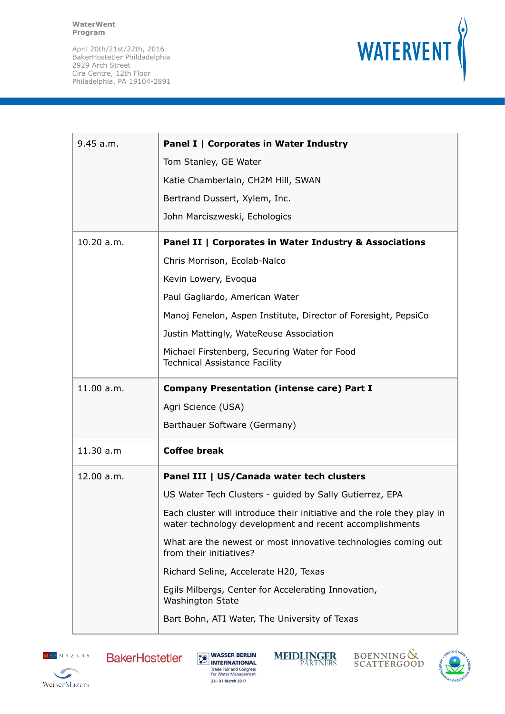

| 9.45 a.m.  | Panel I   Corporates in Water Industry                                                                                            |
|------------|-----------------------------------------------------------------------------------------------------------------------------------|
|            | Tom Stanley, GE Water                                                                                                             |
|            | Katie Chamberlain, CH2M Hill, SWAN                                                                                                |
|            | Bertrand Dussert, Xylem, Inc.                                                                                                     |
|            | John Marciszweski, Echologics                                                                                                     |
| 10.20 a.m. | Panel II   Corporates in Water Industry & Associations                                                                            |
|            | Chris Morrison, Ecolab-Nalco                                                                                                      |
|            | Kevin Lowery, Evoqua                                                                                                              |
|            | Paul Gagliardo, American Water                                                                                                    |
|            | Manoj Fenelon, Aspen Institute, Director of Foresight, PepsiCo                                                                    |
|            | Justin Mattingly, WateReuse Association                                                                                           |
|            | Michael Firstenberg, Securing Water for Food<br><b>Technical Assistance Facility</b>                                              |
| 11.00 a.m. | <b>Company Presentation (intense care) Part I</b>                                                                                 |
|            |                                                                                                                                   |
|            | Agri Science (USA)                                                                                                                |
|            | Barthauer Software (Germany)                                                                                                      |
| 11.30 a.m  | <b>Coffee break</b>                                                                                                               |
| 12.00 a.m. | Panel III   US/Canada water tech clusters                                                                                         |
|            | US Water Tech Clusters - guided by Sally Gutierrez, EPA                                                                           |
|            | Each cluster will introduce their initiative and the role they play in<br>water technology development and recent accomplishments |
|            | What are the newest or most innovative technologies coming out<br>from their initiatives?                                         |
|            | Richard Seline, Accelerate H20, Texas                                                                                             |
|            | Egils Milbergs, Center for Accelerating Innovation,<br><b>Washington State</b>                                                    |
|            | Bart Bohn, ATI Water, The University of Texas                                                                                     |







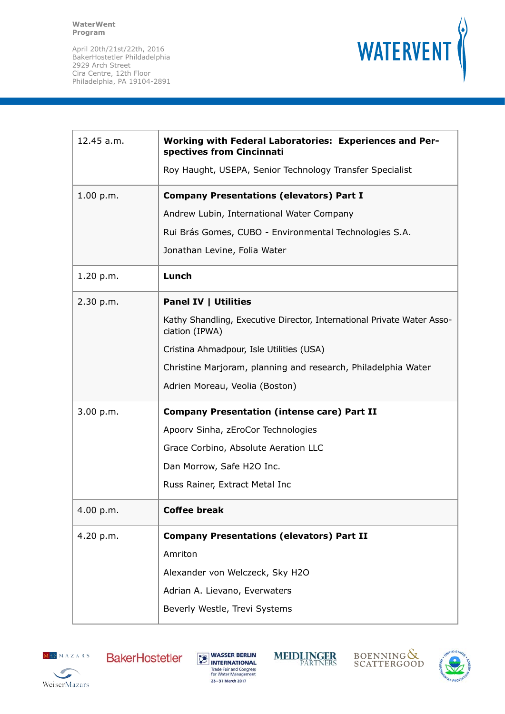

| Kathy Shandling, Executive Director, International Private Water Asso- |
|------------------------------------------------------------------------|
|                                                                        |
| Christine Marjoram, planning and research, Philadelphia Water          |
|                                                                        |
|                                                                        |
|                                                                        |
|                                                                        |
|                                                                        |
|                                                                        |
|                                                                        |
|                                                                        |
|                                                                        |
|                                                                        |
|                                                                        |
|                                                                        |
|                                                                        |









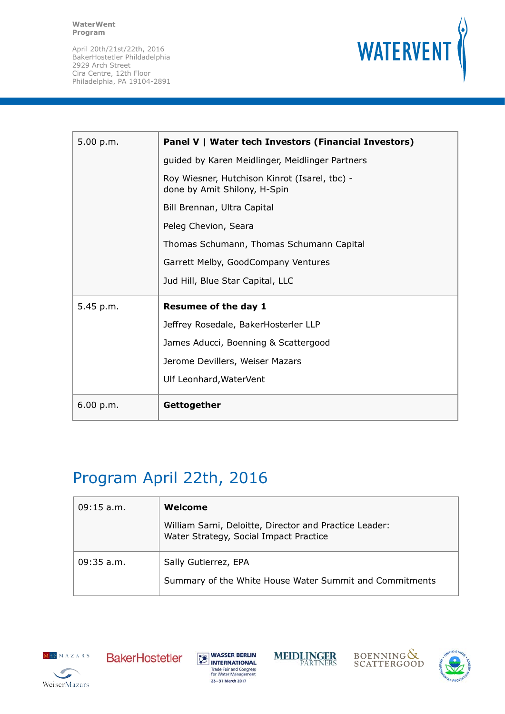

| 5.00 p.m. | Panel V   Water tech Investors (Financial Investors)                          |
|-----------|-------------------------------------------------------------------------------|
|           | guided by Karen Meidlinger, Meidlinger Partners                               |
|           | Roy Wiesner, Hutchison Kinrot (Isarel, tbc) -<br>done by Amit Shilony, H-Spin |
|           | Bill Brennan, Ultra Capital                                                   |
|           | Peleg Chevion, Seara                                                          |
|           | Thomas Schumann, Thomas Schumann Capital                                      |
|           | Garrett Melby, GoodCompany Ventures                                           |
|           | Jud Hill, Blue Star Capital, LLC                                              |
| 5.45 p.m. | <b>Resumee of the day 1</b>                                                   |
|           | Jeffrey Rosedale, BakerHosterler LLP                                          |
|           | James Aducci, Boenning & Scattergood                                          |
|           | Jerome Devillers, Weiser Mazars                                               |
|           | Ulf Leonhard, WaterVent                                                       |
| 6.00 p.m. | Gettogether                                                                   |

# Program April 22th, 2016

| $09:15$ a.m. | Welcome                                                                                          |
|--------------|--------------------------------------------------------------------------------------------------|
|              | William Sarni, Deloitte, Director and Practice Leader:<br>Water Strategy, Social Impact Practice |
| $09:35$ a.m. | Sally Gutierrez, EPA                                                                             |
|              | Summary of the White House Water Summit and Commitments                                          |









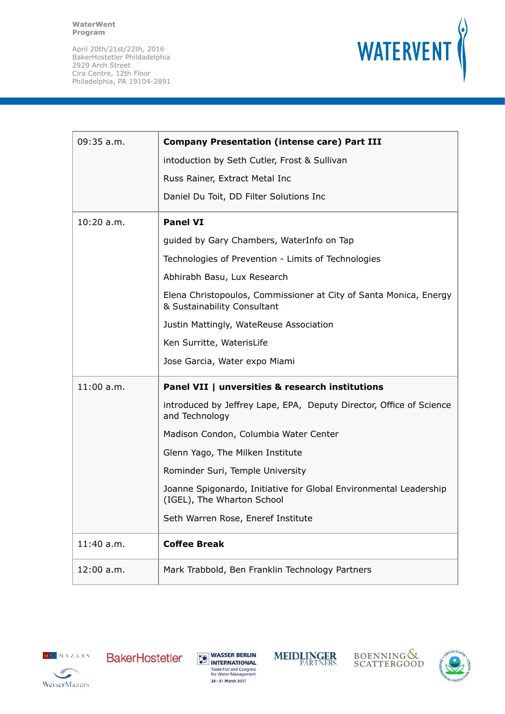

| $09:35$ a.m. | <b>Company Presentation (intense care) Part III</b>                                              |
|--------------|--------------------------------------------------------------------------------------------------|
|              | intoduction by Seth Cutler, Frost & Sullivan                                                     |
|              | Russ Rainer, Extract Metal Inc                                                                   |
|              | Daniel Du Toit, DD Filter Solutions Inc                                                          |
| $10:20$ a.m. | <b>Panel VI</b>                                                                                  |
|              | guided by Gary Chambers, WaterInfo on Tap                                                        |
|              | Technologies of Prevention - Limits of Technologies                                              |
|              | Abhirabh Basu, Lux Research                                                                      |
|              | Elena Christopoulos, Commissioner at City of Santa Monica, Energy<br>& Sustainability Consultant |
|              | Justin Mattingly, WateReuse Association                                                          |
|              | Ken Surritte, WaterisLife                                                                        |
|              | Jose Garcia, Water expo Miami                                                                    |
| $11:00$ a.m. | Panel VII   unversities & research institutions                                                  |
|              | introduced by Jeffrey Lape, EPA, Deputy Director, Office of Science<br>and Technology            |
|              | Madison Condon, Columbia Water Center                                                            |
|              | Glenn Yago, The Milken Institute                                                                 |
|              | Rominder Suri, Temple University                                                                 |
|              | Joanne Spigonardo, Initiative for Global Environmental Leadership<br>(IGEL), The Wharton School  |
|              | Seth Warren Rose, Eneref Institute                                                               |
| 11:40 a.m.   | <b>Coffee Break</b>                                                                              |
| 12:00 a.m.   | Mark Trabbold, Ben Franklin Technology Partners                                                  |











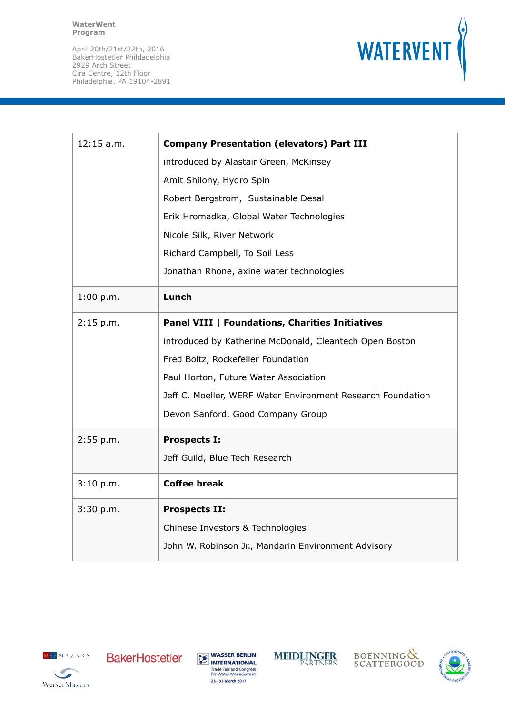

| $12:15$ a.m. | <b>Company Presentation (elevators) Part III</b>            |
|--------------|-------------------------------------------------------------|
|              | introduced by Alastair Green, McKinsey                      |
|              | Amit Shilony, Hydro Spin                                    |
|              | Robert Bergstrom, Sustainable Desal                         |
|              | Erik Hromadka, Global Water Technologies                    |
|              | Nicole Silk, River Network                                  |
|              | Richard Campbell, To Soil Less                              |
|              | Jonathan Rhone, axine water technologies                    |
| 1:00 p.m.    | Lunch                                                       |
| 2:15 p.m.    | <b>Panel VIII   Foundations, Charities Initiatives</b>      |
|              | introduced by Katherine McDonald, Cleantech Open Boston     |
|              | Fred Boltz, Rockefeller Foundation                          |
|              | Paul Horton, Future Water Association                       |
|              | Jeff C. Moeller, WERF Water Environment Research Foundation |
|              | Devon Sanford, Good Company Group                           |
| 2:55 p.m.    | <b>Prospects I:</b>                                         |
|              | Jeff Guild, Blue Tech Research                              |
| 3:10 p.m.    | <b>Coffee break</b>                                         |
| 3:30 p.m.    | <b>Prospects II:</b>                                        |
|              | Chinese Investors & Technologies                            |
|              | John W. Robinson Jr., Mandarin Environment Advisory         |